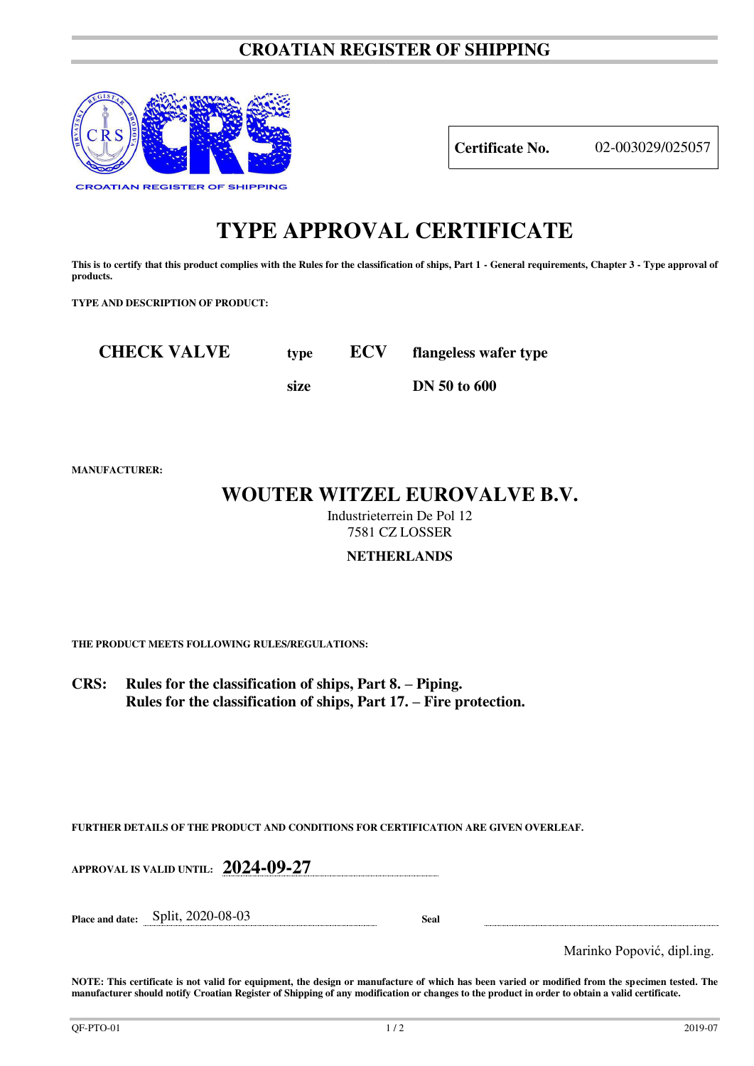## **CROATIAN REGISTER OF SHIPPING**



**Certificate No.** 02-003029/025057

# **TYPE APPROVAL CERTIFICATE**

This is to certify that this product complies with the Rules for the classification of ships, Part 1 - General requirements, Chapter 3 - Type approval of **products.** 

**TYPE AND DESCRIPTION OF PRODUCT:** 

**CHECK VALVE type ECV flangeless wafer type** 

 **size DN 50 to 600** 

**MANUFACTURER:**

# **WOUTER WITZEL EUROVALVE B.V.**

Industrieterrein De Pol 12 7581 CZ LOSSER

### **NETHERLANDS**

**THE PRODUCT MEETS FOLLOWING RULES/REGULATIONS:**

**CRS: Rules for the classification of ships, Part 8. – Piping. Rules for the classification of ships, Part 17. – Fire protection.**

**FURTHER DETAILS OF THE PRODUCT AND CONDITIONS FOR CERTIFICATION ARE GIVEN OVERLEAF.**

**APPROVAL IS VALID UNTIL: 2024-09-27**

**Place and date:** Split, 2020-08-03 **Seal** 

Marinko Popović, dipl.ing.

**NOTE: This certificate is not valid for equipment, the design or manufacture of which has been varied or modified from the specimen tested. The manufacturer should notify Croatian Register of Shipping of any modification or changes to the product in order to obtain a valid certificate.**